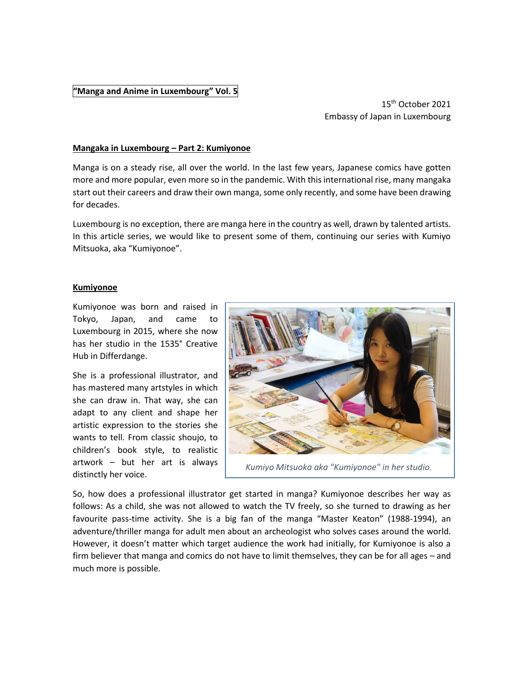## **"Manga and Anime in Luxembourg" Vol. 5**

15th October 2021 Embassy of Japan in Luxembourg

## **Mangaka in Luxembourg – Part 2: Kumiyonoe**

Manga is on a steady rise, all over the world. In the last few years, Japanese comics have gotten more and more popular, even more so in the pandemic. With this international rise, many mangaka start out their careers and draw their own manga, some only recently, and some have been drawing for decades.

Luxembourg is no exception, there are manga here in the country as well, drawn by talented artists. In this article series, we would like to present some of them, continuing our series with Kumiyo Mitsuoka, aka "Kumiyonoe".

## **Kumiyonoe**

Kumiyonoe was born and raised in Tokyo, Japan, and came to Luxembourg in 2015, where she now has her studio in the 1535° Creative Hub in Differdange.

She is a professional illustrator, and has mastered many artstyles in which she can draw in. That way, she can adapt to any client and shape her artistic expression to the stories she wants to tell. From classic shoujo, to children's book style, to realistic artwork – but her art is always distinctly her voice.



*Kumiyo Mitsuoka aka "Kumiyonoe" in her studio.*

So, how does a professional illustrator get started in manga? Kumiyonoe describes her way as follows: As a child, she was not allowed to watch the TV freely, so she turned to drawing as her favourite pass-time activity. She is a big fan of the manga "Master Keaton" (1988-1994), an adventure/thriller manga for adult men about an archeologist who solves cases around the world. However, it doesn't matter which target audience the work had initially, for Kumiyonoe is also a firm believer that manga and comics do not have to limit themselves, they can be for all ages – and much more is possible.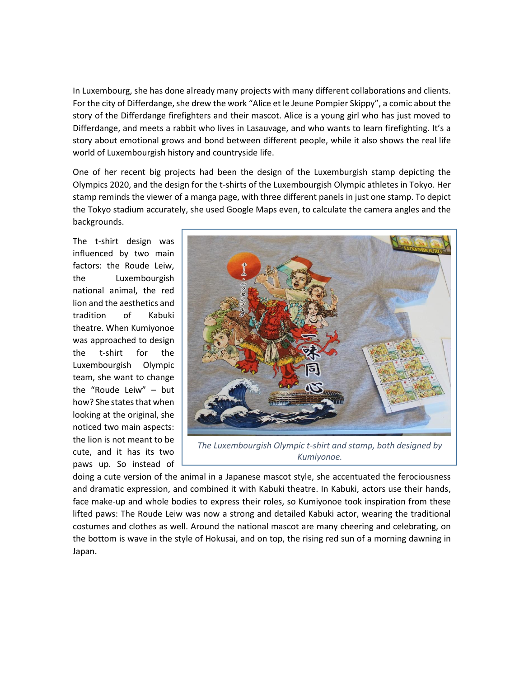In Luxembourg, she has done already many projects with many different collaborations and clients. For the city of Differdange, she drew the work "Alice et le Jeune Pompier Skippy", a comic about the story of the Differdange firefighters and their mascot. Alice is a young girl who has just moved to Differdange, and meets a rabbit who lives in Lasauvage, and who wants to learn firefighting. It's a story about emotional grows and bond between different people, while it also shows the real life world of Luxembourgish history and countryside life.

One of her recent big projects had been the design of the Luxemburgish stamp depicting the Olympics 2020, and the design for the t-shirts of the Luxembourgish Olympic athletes in Tokyo. Her stamp reminds the viewer of a manga page, with three different panels in just one stamp. To depict the Tokyo stadium accurately, she used Google Maps even, to calculate the camera angles and the backgrounds.

The t-shirt design was influenced by two main factors: the Roude Leiw, the Luxembourgish national animal, the red lion and the aesthetics and tradition of Kabuki theatre. When Kumiyonoe was approached to design the t-shirt for the Luxembourgish Olympic team, she want to change the "Roude Leiw" – but how? She states that when looking at the original, she noticed two main aspects: the lion is not meant to be cute, and it has its two paws up. So instead of



*The Luxembourgish Olympic t-shirt and stamp, both designed by Kumiyonoe.*

doing a cute version of the animal in a Japanese mascot style, she accentuated the ferociousness and dramatic expression, and combined it with Kabuki theatre. In Kabuki, actors use their hands, face make-up and whole bodies to express their roles, so Kumiyonoe took inspiration from these lifted paws: The Roude Leiw was now a strong and detailed Kabuki actor, wearing the traditional costumes and clothes as well. Around the national mascot are many cheering and celebrating, on the bottom is wave in the style of Hokusai, and on top, the rising red sun of a morning dawning in Japan.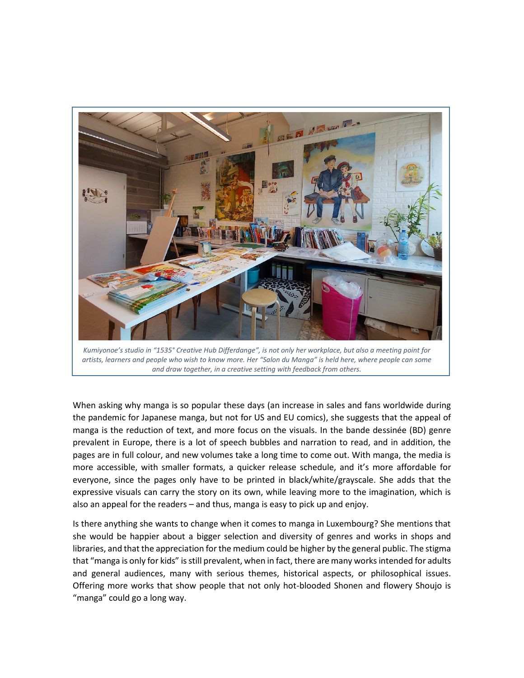

*Kumiyonoe's studio in "1535° Creative Hub Differdange", is not only her workplace, but also a meeting point for artists, learners and people who wish to know more. Her "Salon du Manga" is held here, where people can some and draw together, in a creative setting with feedback from others.*

When asking why manga is so popular these days (an increase in sales and fans worldwide during the pandemic for Japanese manga, but not for US and EU comics), she suggests that the appeal of manga is the reduction of text, and more focus on the visuals. In the bande dessinée (BD) genre prevalent in Europe, there is a lot of speech bubbles and narration to read, and in addition, the pages are in full colour, and new volumes take a long time to come out. With manga, the media is more accessible, with smaller formats, a quicker release schedule, and it's more affordable for everyone, since the pages only have to be printed in black/white/grayscale. She adds that the expressive visuals can carry the story on its own, while leaving more to the imagination, which is also an appeal for the readers – and thus, manga is easy to pick up and enjoy.

Is there anything she wants to change when it comes to manga in Luxembourg? She mentions that she would be happier about a bigger selection and diversity of genres and works in shops and libraries, and that the appreciation for the medium could be higher by the general public. The stigma that "manga is only for kids" is still prevalent, when in fact, there are many works intended for adults and general audiences, many with serious themes, historical aspects, or philosophical issues. Offering more works that show people that not only hot-blooded Shonen and flowery Shoujo is "manga" could go a long way.